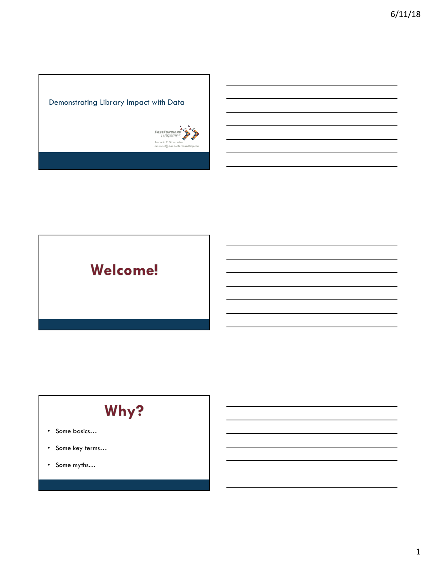

# Welcome!

# Why?

- Some basics…
- Some key terms…
- Some myths…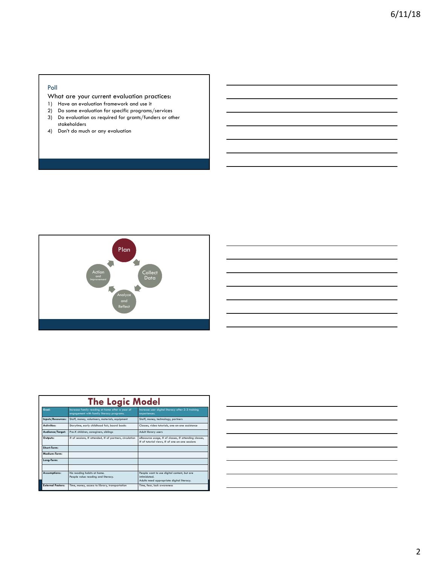#### Poll

### What are your current evaluation practices:

- 1) Have an evaluation framework and use it
- 2) Do some evaluation for specific programs/services
- 3) Do evaluation as required for grants/funders or other stakeholders
- 4) Don't do much or any evaluation



|                                                                   | <b>The Logic Model</b>   |                                                                                              |                                                                                                          |  |  |
|-------------------------------------------------------------------|--------------------------|----------------------------------------------------------------------------------------------|----------------------------------------------------------------------------------------------------------|--|--|
|                                                                   | Goal:                    | Increase family reading at home after a year of<br>engagement with family literacy programs. | Increase user digital literacy after 2-3 training<br>experiences.                                        |  |  |
|                                                                   | Inputs/Resources:        | Staff, money, volunteers, materials, equipment                                               | Staff, money, technology, partners                                                                       |  |  |
|                                                                   | Activities:              | Storytime, early childhood fair, board books                                                 | Classes, video tutorials, one-on-one assistance                                                          |  |  |
|                                                                   | Audience/Target:         | Pre-K children, caregivers, siblings                                                         | Adult library users                                                                                      |  |  |
| # of sessions, # attended, # of partners, circulation<br>Outputs: |                          |                                                                                              | eResource usage, # of classes, # attending classes,<br># of tutorial views, # of one-on-one sessions     |  |  |
|                                                                   | Short-Term:              |                                                                                              |                                                                                                          |  |  |
|                                                                   | Medium-Term:             |                                                                                              |                                                                                                          |  |  |
|                                                                   | Long-Term:               |                                                                                              |                                                                                                          |  |  |
|                                                                   |                          |                                                                                              |                                                                                                          |  |  |
|                                                                   | Assumptions:             | No reading habits at home.<br>People value reading and literacy.                             | People want to use digital content, but are<br>intimidated.<br>Adults need appropriate digital literacy. |  |  |
|                                                                   | <b>External Factors:</b> | Time, money, access to library, transportation                                               | Time, fear, lack awareness                                                                               |  |  |

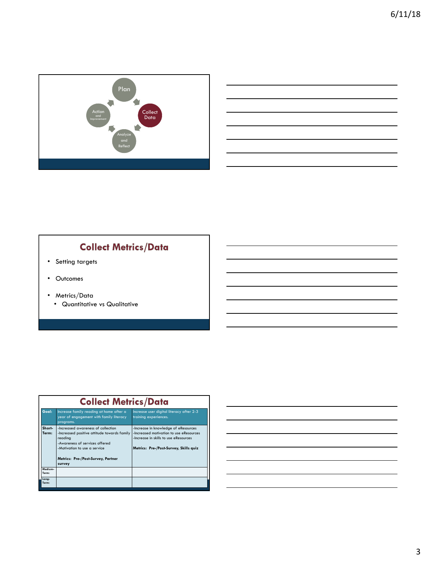

| <u> Albanya di Barat di Barat di Barat di Barat di Barat di Barat di Barat di Barat di Barat di Barat di Barat di</u> |                                                                                                                      |  |  |
|-----------------------------------------------------------------------------------------------------------------------|----------------------------------------------------------------------------------------------------------------------|--|--|
|                                                                                                                       | <u> Alexandro de la contrada de la contrada de la contrada de la contrada de la contrada de la contrada de la co</u> |  |  |
|                                                                                                                       |                                                                                                                      |  |  |
|                                                                                                                       |                                                                                                                      |  |  |

### **Collect Metrics/Data**

- Setting targets
- Outcomes
- Metrics/Data
	- Quantitative vs Qualitative

|  | <b>Collect Metrics/Data</b> |                                                                                                                                                                                                                |                                                                                                                                                                    |  |  |  |
|--|-----------------------------|----------------------------------------------------------------------------------------------------------------------------------------------------------------------------------------------------------------|--------------------------------------------------------------------------------------------------------------------------------------------------------------------|--|--|--|
|  | Goal:                       | Increase family reading at home after a<br>year of engagement with family literacy<br>programs.                                                                                                                | Increase user digital literacy after 2-3<br>training experiences.                                                                                                  |  |  |  |
|  | Short-<br>Term:             | -Increased awareness of collection<br>-Increased positive attitude towards family<br>reading<br>-Awareness of services offered<br>-Motivation to use a service<br>Metrics: Pre-/Post-Survey, Partner<br>survey | -Increase in knowledge of eResources<br>-Increased motivation to use eResources<br>-Increase in skills to use eResources<br>Metrics: Pre-/Post-Survey, Skills quiz |  |  |  |
|  | Medium-<br>Term:            |                                                                                                                                                                                                                |                                                                                                                                                                    |  |  |  |
|  | Long-<br>Term:              |                                                                                                                                                                                                                |                                                                                                                                                                    |  |  |  |

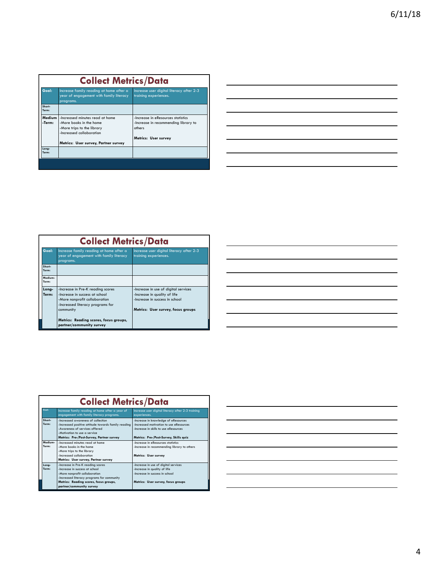| <b>Collect Metrics/Data</b>                                                                              |                                      |                                                                   |  |  |
|----------------------------------------------------------------------------------------------------------|--------------------------------------|-------------------------------------------------------------------|--|--|
| Goal:<br>Increase family reading at home after a<br>year of engagement with family literacy<br>programs. |                                      | Increase user digital literacy after 2-3<br>training experiences. |  |  |
| Short-<br>Term:                                                                                          |                                      |                                                                   |  |  |
| Medium                                                                                                   | -Increased minutes read at home      | -Increase in eResources statistics                                |  |  |
| -Term:                                                                                                   | -More books in the home              | -Increase in recommending library to                              |  |  |
|                                                                                                          | -More trips to the library           | others                                                            |  |  |
|                                                                                                          | -Increased collaboration             |                                                                   |  |  |
|                                                                                                          |                                      | Metrics: User survey                                              |  |  |
|                                                                                                          | Metrics: User survey, Partner survey |                                                                   |  |  |
| Lona-<br>Term:                                                                                           |                                      |                                                                   |  |  |
|                                                                                                          |                                      |                                                                   |  |  |
|                                                                                                          |                                      |                                                                   |  |  |

| and the control of the control of the |  |
|---------------------------------------|--|

|                  | <b>Collect Metrics/Data</b>                                                                                                                                                                                                 |                                                                                                                                              |  |  |  |
|------------------|-----------------------------------------------------------------------------------------------------------------------------------------------------------------------------------------------------------------------------|----------------------------------------------------------------------------------------------------------------------------------------------|--|--|--|
| Goal:            | Increase family reading at home after a<br>year of engagement with family literacy<br>programs.                                                                                                                             | Increase user digital literacy after 2-3<br>training experiences.                                                                            |  |  |  |
| Short-<br>Term:  |                                                                                                                                                                                                                             |                                                                                                                                              |  |  |  |
| Medium-<br>Term: |                                                                                                                                                                                                                             |                                                                                                                                              |  |  |  |
| Long-<br>Term:   | -Increase in Pre-K reading scores<br>-Increase in success at school<br>-More nonprofit collaboration<br>-Increased literacy programs for<br>community<br>Metrics: Reading scores, focus groups,<br>partner/community survey | -Increase in use of digital services<br>-Increase in quality of life<br>-Increase in success in school<br>Metrics: User survey, focus groups |  |  |  |

| <u> 1989 - Johann Barbara, martxa alemaniar argamento este alemaniar alemaniar alemaniar alemaniar alemaniar al</u>   |  |                                   |
|-----------------------------------------------------------------------------------------------------------------------|--|-----------------------------------|
|                                                                                                                       |  |                                   |
|                                                                                                                       |  |                                   |
|                                                                                                                       |  | the control of the control of the |
| <u> 1989 - Johann Stoff, deutscher Stoff, der Stoff, der Stoff, der Stoff, der Stoff, der Stoff, der Stoff, der S</u> |  |                                   |
| <u> 1988 - Andrea Santa Andrea Santa Andrea Santa Andrea Santa Andrea Santa Andrea Santa Andrea Santa Andrea San</u>  |  |                                   |
| <u> 1989 - Andrea Andrew Maria (h. 1989).</u><br>2001 - Andrew Maria (h. 1989).                                       |  |                                   |
| <u> 1989 - Johann Stoff, amerikansk politiker (* 1908)</u>                                                            |  |                                   |

|                  | <b>Collect Metrics/Data</b>                                                                                                                                                                                              |                                                                                                                                                                    |  |  |  |  |
|------------------|--------------------------------------------------------------------------------------------------------------------------------------------------------------------------------------------------------------------------|--------------------------------------------------------------------------------------------------------------------------------------------------------------------|--|--|--|--|
| Gools            | Increase family reading at home after a year of<br>engagement with family literacy programs.                                                                                                                             | Increase user digital literacy after 2-3 training<br>experiences.                                                                                                  |  |  |  |  |
| Short-<br>Term:  | -Increased awareness of collection<br>-Increased positive attitude towards family reading<br>Awareness of services offered<br>-Motivation to use a service<br>Metrics: Pre-/Post-Survey, Partner survey                  | -Increase in knowledge of eResources<br>-Increased motivation to use eResources<br>-Increase in skills to use eResources<br>Metrics: Pre-/Post-Survey, Skills quiz |  |  |  |  |
| Medium-<br>Term: | -Increased minutes read at home<br>-More books in the home<br>-More trips to the library<br>-Increased collaboration<br>Metrics: User survey, Partner survey                                                             | -Increase in eResources statistics<br>-Increase in recommending library to others<br>Metrics: User survey                                                          |  |  |  |  |
| Lona-<br>Term:   | -Increase in Pre-K reading scores<br>-Increase in success at school<br>-More nonprofit collaboration<br>-Increased literacy programs for community<br>Metrics: Reading scores, focus groups,<br>partner/community survey | -Increase in use of digital services<br>-Increase in quality of life<br>-Increase in success in school<br>Metrics: User survey, focus groups                       |  |  |  |  |

| <u> 1989 - Johann Stoff, deutscher Stoff, der Stoff, der Stoff, der Stoff, der Stoff, der Stoff, der Stoff, der S</u>  |  |  |
|------------------------------------------------------------------------------------------------------------------------|--|--|
| <u> 1989 - Johann Stoff, deutscher Stoffen und der Stoffen und der Stoffen und der Stoffen und der Stoffen und der</u> |  |  |
| <u> 1989 - Johann Stoff, deutscher Stoff, der Stoff, der Stoff, der Stoff, der Stoff, der Stoff, der Stoff, der S</u>  |  |  |
| <u> 1989 - Johann Stoff, deutscher Stoff, der Stoff, der Stoff, der Stoff, der Stoff, der Stoff, der Stoff, der S</u>  |  |  |
| <u> 1989 - Johann Stoff, deutscher Stoffen und der Stoffen und der Stoffen und der Stoffen und der Stoffen und de</u>  |  |  |
| <u> 1989 - Johann Stoff, deutscher Stoff, der Stoff, der Stoff, der Stoff, der Stoff, der Stoff, der Stoff, der S</u>  |  |  |
|                                                                                                                        |  |  |
|                                                                                                                        |  |  |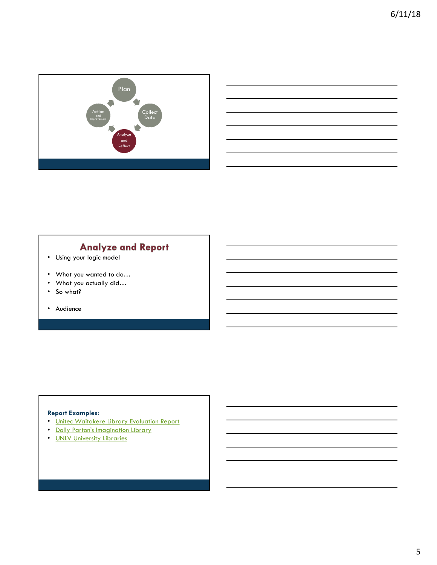

### **Analyze and Report**

- Using your logic model
- What you wanted to do…
- What you actually did…
- So what?
- Audience

### **Report Examples:**

- Unitec Waitakere Library Evaluation Report
- Dolly Parton's Imagination Library
- UNLV University Libraries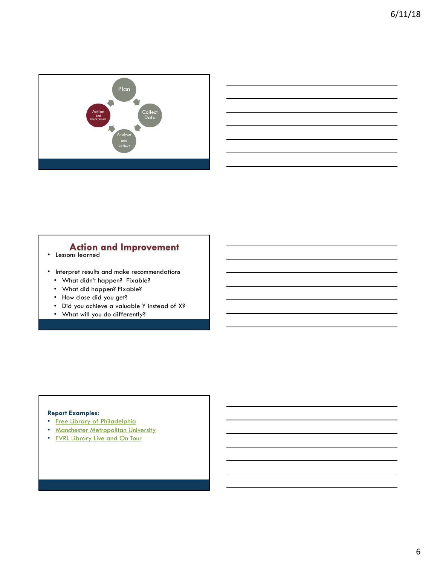



# **Action and Improvement** . Lessons learned

- 
- Interpret results and make recommendations
	- What didn't happen? Fixable?
	- What did happen? Fixable?
	- How close did you get?
	- Did you achieve a valuable Y instead of X?
	- What will you do differently?

### **Report Examples:**

- Free Library of Philadelphia
- Manchester Metropolitan University
- FVRL Library Live and On Tour